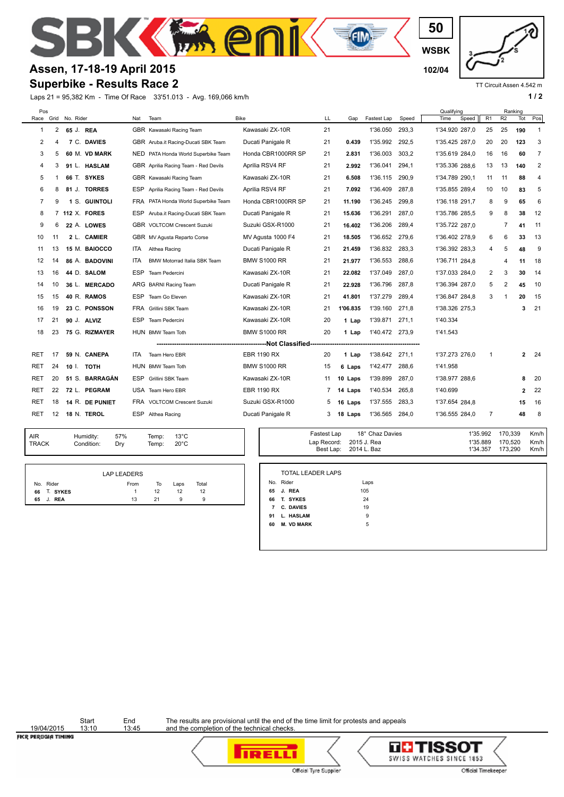**WSBK**

**50**

 $\overline{\mathbf{f}}$   $\mathbf{f}$   $\mathbf{m}$ 



TT Circuit Assen 4.542 m

Km/h Km/h

## **Assen, 17-18-19 April 2015 102/04**

## **Superbike - Results Race 2**

Laps 21 = 95,382 Km - Time Of Race 33'51.013 - Avg. 169,066 km/h **1 a** a set of the set of the set of the set of the set of the set of the set of the set of the set of the set of the set of the set of the set of the set of

**STAP** 

| Pos                           |    | Race Grid No. Rider |                  | Nat        | Team                                 | <b>Bike</b>         | LL          | Gap      | Fastest Lap     | Speed | Qualifying<br>Time | Speed          | R <sub>1</sub> | Ranking<br>R2  | Tot | Pos            |
|-------------------------------|----|---------------------|------------------|------------|--------------------------------------|---------------------|-------------|----------|-----------------|-------|--------------------|----------------|----------------|----------------|-----|----------------|
| 1                             | 2  | 65 J. REA           |                  |            | GBR Kawasaki Racing Team             | Kawasaki ZX-10R     | 21          |          | 1'36.050        | 293,3 |                    | 1'34.920 287,0 | 25             | 25             | 190 | -1             |
| 2                             | 4  |                     | 7 C. DAVIES      |            | GBR Aruba.it Racing-Ducati SBK Team  | Ducati Panigale R   | 21          | 0.439    | 1'35.992        | 292,5 |                    | 1'35.425 287.0 | 20             | 20             | 123 | 3              |
| 3                             | 5  |                     | 60 M. VD MARK    | NED.       | PATA Honda World Superbike Team      | Honda CBR1000RR SP  | 21          | 2.831    | 1'36.003        | 303,2 |                    | 1'35.619 284,0 | 16             | 16             | 60  | $\overline{7}$ |
| 4                             | 3  |                     | 91 L. HASLAM     |            | GBR Aprilia Racing Team - Red Devils | Aprilia RSV4 RF     | 21          | 2.992    | 1'36.041        | 294,1 |                    | 1'35.336 288.6 | 13             | 13             | 140 | 2              |
| 5                             | -1 |                     | 66 T. SYKES      |            | GBR Kawasaki Racing Team             | Kawasaki ZX-10R     | 21          | 6.508    | 1'36.115        | 290.9 |                    | 1'34.789 290,1 | 11             | 11             | 88  | $\overline{4}$ |
| 6                             | 8  |                     | 81 J. TORRES     | <b>ESP</b> | Aprilia Racing Team - Red Devils     | Aprilia RSV4 RF     | 21          | 7.092    | 1'36.409        | 287.8 |                    | 1'35.855 289.4 | 10             | 10             | 83  | 5              |
| 7                             | 9  |                     | 1 S. GUINTOLI    |            | FRA PATA Honda World Superbike Team  | Honda CBR1000RR SP  | 21          | 11.190   | 1'36.245        | 299,8 |                    | 1'36.118 291,7 | 8              | 9              | 65  | 6              |
| 8                             |    |                     | 7 112 X. FORES   | ESP        | Aruba.it Racing-Ducati SBK Team      | Ducati Panigale R   | 21          | 15.636   | 1'36.291        | 287.0 |                    | 1'35.786 285.5 | 9              | 8              | 38  | 12             |
| 9                             | 6  |                     | 22 A. LOWES      |            | <b>GBR VOLTCOM Crescent Suzuki</b>   | Suzuki GSX-R1000    | 21          | 16.402   | 1'36.206        | 289.4 |                    | 1'35.722 287.0 |                | $\overline{7}$ | 41  | 11             |
| 10                            | 11 |                     | 2 L. CAMIER      |            | GBR MV Agusta Reparto Corse          | MV Agusta 1000 F4   | 21          | 18.505   | 1'36.652        | 279,6 |                    | 1'36.402 278.9 | 6              | 6              | 33  | 13             |
| 11                            | 13 |                     | 15 M. BAIOCCO    | ITA.       | Althea Racing                        | Ducati Panigale R   | 21          | 21.459   | 1'36.832        | 283,3 |                    | 1'36.392 283,3 | 4              | 5              | 48  | 9              |
| 12                            | 14 |                     | 86 A. BADOVINI   | <b>ITA</b> | BMW Motorrad Italia SBK Team         | <b>BMW S1000 RR</b> | 21          | 21.977   | 1'36.553        | 288,6 |                    | 1'36.711 284.8 |                | 4              | 11  | 18             |
| 13                            | 16 |                     | 44 D. SALOM      | ESP        | Team Pedercini                       | Kawasaki ZX-10R     | 21          | 22.082   | 1'37.049        | 287,0 |                    | 1'37.033 284,0 | 2              | 3              | 30  | 14             |
| 14                            | 10 |                     | 36 L. MERCADO    |            | ARG BARNI Racing Team                | Ducati Panigale R   | 21          | 22.928   | 1'36.796        | 287,8 |                    | 1'36.394 287,0 | 5              | 2              | 45  | 10             |
| 15                            | 15 |                     | 40 R. RAMOS      | ESP        | Team Go Eleven                       | Kawasaki ZX-10R     | 21          | 41.801   | 1'37.279        | 289,4 |                    | 1'36.847 284.8 | 3              | -1             | 20  | 15             |
| 16                            | 19 |                     | 23 C. PONSSON    |            | FRA Grillini SBK Team                | Kawasaki ZX-10R     | 21          | 1'06.835 | 1'39.160        | 271.8 |                    | 1'38.326 275,3 |                |                | 3   | 21             |
| 17                            | 21 |                     | 90 J. ALVIZ      | ESP        | Team Pedercini                       | Kawasaki ZX-10R     | 20          | 1 Lap    | 1'39.871        | 271.1 | 1'40.334           |                |                |                |     |                |
| 18                            | 23 |                     | 75 G. RIZMAYER   |            | HUN BMW Team Toth                    | <b>BMW S1000 RR</b> | 20          | 1 Lap    | 1'40.472 273,9  |       | 1'41.543           |                |                |                |     |                |
| ------------Not Classified--- |    |                     |                  |            |                                      |                     |             |          |                 |       |                    |                |                |                |     |                |
| RET                           | 17 |                     | 59 N. CANEPA     | ITA.       | Team Hero EBR                        | <b>EBR 1190 RX</b>  | 20          | 1 Lap    | 1'38.642        | 271,1 |                    | 1'37.273 276,0 | -1             |                | 2   | -24            |
| RET                           | 24 | 10 I.               | тотн             |            | HUN BMW Team Toth                    | <b>BMW S1000 RR</b> | 15          | 6 Laps   | 1'42.477        | 288,6 | 1'41.958           |                |                |                |     |                |
| RET                           | 20 |                     | 51 S. BARRAGÁN   | ESP        | Grillini SBK Team                    | Kawasaki ZX-10R     | 11          | 10 Laps  | 1'39.899        | 287,0 |                    | 1'38.977 288,6 |                |                | 8   | 20             |
| RET                           | 22 |                     | 72 L. PEGRAM     |            | USA Team Hero EBR                    | <b>EBR 1190 RX</b>  | 7           | 14 Laps  | 1'40.534        | 265,8 | 1'40.699           |                |                |                | 2   | 22             |
| RET                           | 18 |                     | 14 R. DE PUNIET  | FRA        | <b>VOLTCOM Crescent Suzuki</b>       | Suzuki GSX-R1000    | 5           | 16 Laps  | 1'37.555        | 283,3 |                    | 1'37.654 284.8 |                |                | 15  | 16             |
| RET                           | 12 |                     | 18 N. TEROL      | ESP        | Althea Racing                        | Ducati Panigale R   | 3           | 18 Laps  | 1'36.565        | 284,0 |                    | 1'36.555 284,0 | 7              |                | 48  | 8              |
| AIR.                          |    |                     | 57%<br>Humidity: |            | $13^\circ$ C<br>Temn <sup>.</sup>    |                     | Fastest Lap |          | 18° Chaz Davies |       |                    | 1'35.992       |                | 170.339        |     | Km/h           |

TRACK Condition: Dry AIR Humidity:<br>TRACK Condition

57% 13°C Temp: 20°C Temp: 2015 J. Rea 1'35.889 Best Lap:

|                | <b>LAP LEADERS</b> |    |      |       |
|----------------|--------------------|----|------|-------|
| No. Rider      | From               | то | Laps | Total |
| T. SYKES<br>66 |                    | 12 | 12   | 12    |
| J. REA<br>65   | 13                 | 21 | 9    | 9     |

|                | <b>TOTAL LEADER LAPS</b> |      |
|----------------|--------------------------|------|
|                |                          |      |
|                | No. Rider                | Laps |
|                | 65 J. REA                | 105  |
| 66             | T. SYKES                 | 24   |
| $\overline{7}$ | <b>C. DAVIES</b>         | 19   |
| 91             | L. HASLAM                | 9    |
| 60             | <b>M. VD MARK</b>        | 5    |
|                |                          |      |

2014 L. Baz 1'34.357 173,290 2015 J. Rea 1'35.889 170,520

19/04/2015<br>FICR PEROGIA TIMING

Start End<br>13:10 13:45

The results are provisional until the end of the time limit for protests and appeals and the completion of the technical checks.